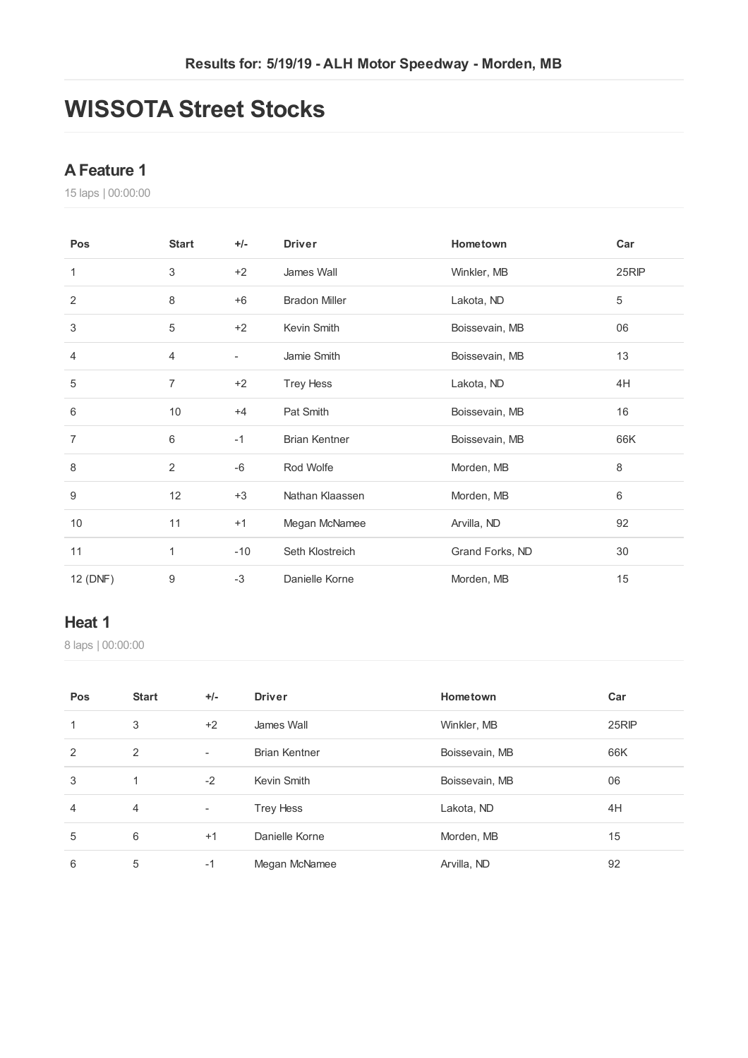## **WISSOTA Street Stocks**

#### **AFeature 1**

laps | 00:00:00

| Pos            | <b>Start</b>    | $+/-$                    | <b>Driver</b>        | Hometown        | Car   |
|----------------|-----------------|--------------------------|----------------------|-----------------|-------|
| 1              | 3               | $+2$                     | James Wall           | Winkler, MB     | 25RIP |
| 2              | 8               | $+6$                     | <b>Bradon Miller</b> | Lakota, ND      | 5     |
| 3              | 5               | $+2$                     | Kevin Smith          | Boissevain, MB  | 06    |
| 4              | 4               | $\overline{\phantom{a}}$ | Jamie Smith          | Boissevain, MB  | 13    |
| 5              | $\overline{7}$  | $+2$                     | <b>Trey Hess</b>     | Lakota, ND      | 4H    |
| 6              | 10 <sup>°</sup> | $+4$                     | Pat Smith            | Boissevain, MB  | 16    |
| $\overline{7}$ | 6               | $-1$                     | <b>Brian Kentner</b> | Boissevain, MB  | 66K   |
| 8              | $\overline{2}$  | -6                       | Rod Wolfe            | Morden, MB      | 8     |
| 9              | 12              | $+3$                     | Nathan Klaassen      | Morden, MB      | 6     |
| 10             | 11              | $+1$                     | Megan McNamee        | Arvilla, ND     | 92    |
| 11             | 1               | $-10$                    | Seth Klostreich      | Grand Forks, ND | 30    |
| 12 (DNF)       | 9               | $-3$                     | Danielle Korne       | Morden, MB      | 15    |

#### **Heat 1**

laps | 00:00:00

| Pos            | <b>Start</b>   | $+/-$                    | <b>Driver</b>        | Hometown       | Car   |
|----------------|----------------|--------------------------|----------------------|----------------|-------|
| 1              | 3              | $+2$                     | James Wall           | Winkler, MB    | 25RIP |
| 2              | $\overline{2}$ | $\overline{\phantom{a}}$ | <b>Brian Kentner</b> | Boissevain, MB | 66K   |
| 3              | 1              | $-2$                     | Kevin Smith          | Boissevain, MB | 06    |
| $\overline{4}$ | $\overline{4}$ | $\overline{\phantom{a}}$ | <b>Trey Hess</b>     | Lakota, ND     | 4H    |
| 5              | 6              | $+1$                     | Danielle Korne       | Morden, MB     | 15    |
| 6              | 5              | $-1$                     | Megan McNamee        | Arvilla, ND    | 92    |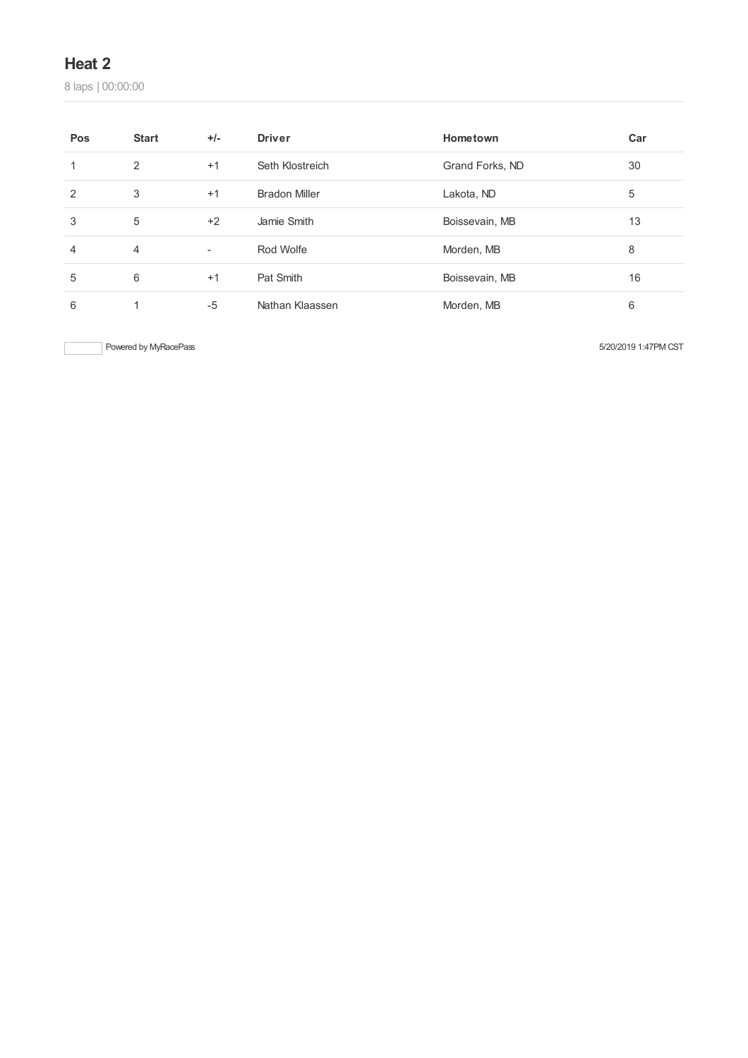#### **Heat 2**

laps | 00:00:00

| Pos            | <b>Start</b>   | $+/-$                    | <b>Driver</b>        | Hometown        | Car |
|----------------|----------------|--------------------------|----------------------|-----------------|-----|
|                | 2              | $+1$                     | Seth Klostreich      | Grand Forks, ND | 30  |
| 2              | 3              | $+1$                     | <b>Bradon Miller</b> | Lakota, ND      | 5   |
| 3              | 5              | $+2$                     | Jamie Smith          | Boissevain, MB  | 13  |
| $\overline{4}$ | $\overline{4}$ | $\overline{\phantom{a}}$ | Rod Wolfe            | Morden, MB      | 8   |
| 5              | 6              | $+1$                     | Pat Smith            | Boissevain, MB  | 16  |
| 6              |                | $-5$                     | Nathan Klaassen      | Morden, MB      | 6   |

Powered by MyRacePass 5/20/2019 1:47PM CST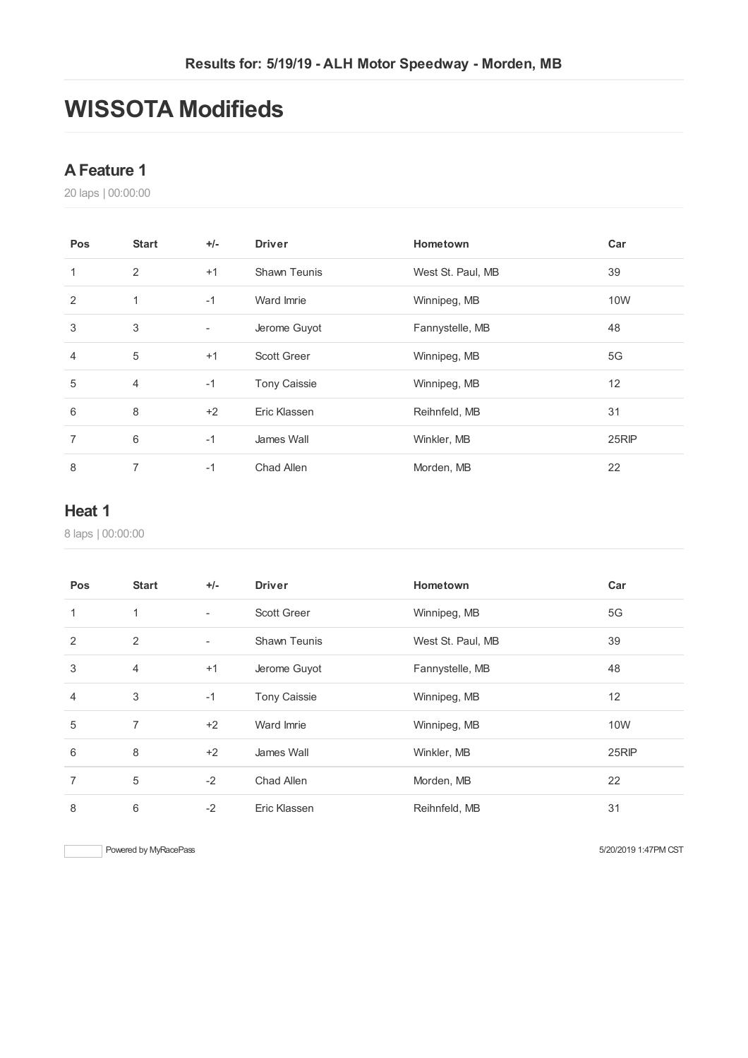## **WISSOTA Modifieds**

#### **AFeature 1**

laps | 00:00:00

| Pos            | <b>Start</b> | $+/-$ | <b>Driver</b>       | Hometown          | Car   |
|----------------|--------------|-------|---------------------|-------------------|-------|
| 1              | 2            | $+1$  | Shawn Teunis        | West St. Paul, MB | 39    |
| 2              | 1            | $-1$  | Ward Imrie          | Winnipeg, MB      | 10W   |
| 3              | 3            | ٠     | Jerome Guyot        | Fannystelle, MB   | 48    |
| $\overline{4}$ | 5            | $+1$  | <b>Scott Greer</b>  | Winnipeg, MB      | 5G    |
| 5              | 4            | $-1$  | <b>Tony Caissie</b> | Winnipeg, MB      | 12    |
| 6              | 8            | $+2$  | Eric Klassen        | Reihnfeld, MB     | 31    |
| 7              | 6            | $-1$  | James Wall          | Winkler, MB       | 25RIP |
| 8              | 7            | $-1$  | Chad Allen          | Morden, MB        | 22    |

#### **Heat 1**

laps | 00:00:00

| Pos            | <b>Start</b>   | $+/-$                    | <b>Driver</b>       | Hometown          | Car   |
|----------------|----------------|--------------------------|---------------------|-------------------|-------|
| $\mathbf{1}$   | 1              | $\overline{\phantom{a}}$ | <b>Scott Greer</b>  | Winnipeg, MB      | 5G    |
| 2              | 2              | $\overline{\phantom{a}}$ | <b>Shawn Teunis</b> | West St. Paul, MB | 39    |
| 3              | $\overline{4}$ | $+1$                     | Jerome Guyot        | Fannystelle, MB   | 48    |
| $\overline{4}$ | 3              | $-1$                     | <b>Tony Caissie</b> | Winnipeg, MB      | 12    |
| 5              | 7              | $+2$                     | Ward Imrie          | Winnipeg, MB      | 10W   |
| 6              | 8              | $+2$                     | James Wall          | Winkler, MB       | 25RIP |
| $\overline{7}$ | 5              | $-2$                     | Chad Allen          | Morden, MB        | 22    |
| 8              | 6              | $-2$                     | Eric Klassen        | Reihnfeld, MB     | 31    |

Powered by MyRacePass 6/20/2019 1:47PM CST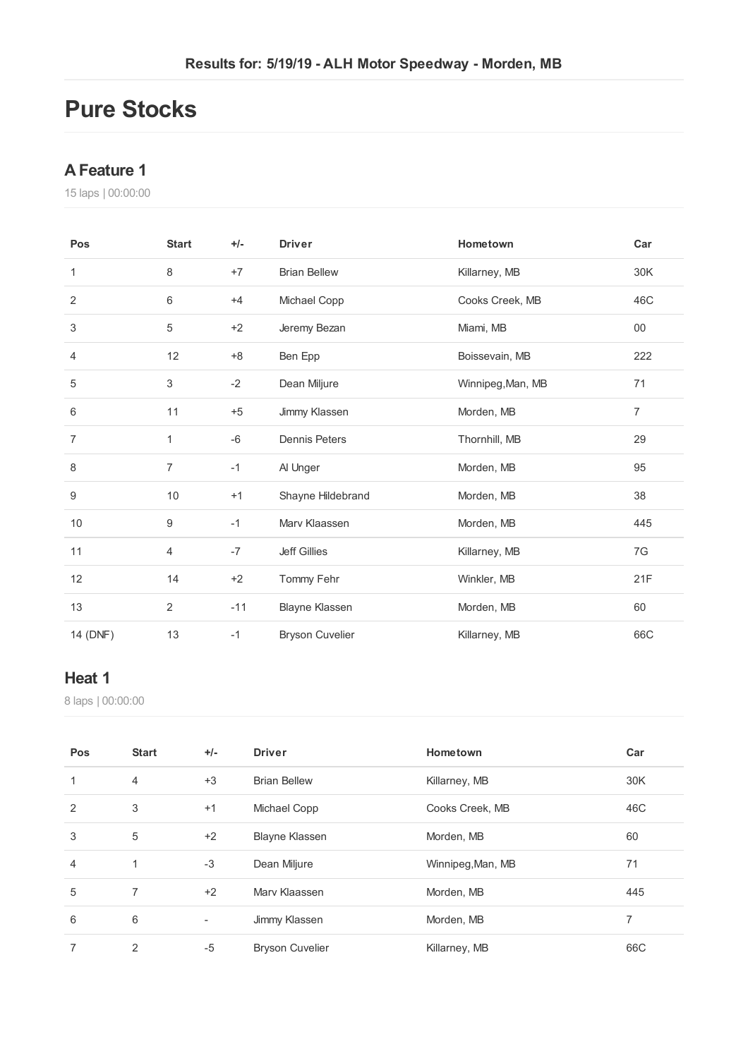### **Pure Stocks**

#### **AFeature 1**

laps | 00:00:00

| Pos            | <b>Start</b>     | $+/-$ | <b>Driver</b>          | Hometown          | Car            |
|----------------|------------------|-------|------------------------|-------------------|----------------|
| 1              | 8                | $+7$  | <b>Brian Bellew</b>    | Killarney, MB     | 30K            |
| $\overline{2}$ | 6                | $+4$  | Michael Copp           | Cooks Creek, MB   | 46C            |
| 3              | 5                | $+2$  | Jeremy Bezan           | Miami, MB         | $00\,$         |
| 4              | 12               | $+8$  | Ben Epp                | Boissevain, MB    | 222            |
| 5              | 3                | $-2$  | Dean Miljure           | Winnipeg, Man, MB | 71             |
| 6              | 11               | $+5$  | Jimmy Klassen          | Morden, MB        | $\overline{7}$ |
| $\overline{7}$ | 1                | $-6$  | <b>Dennis Peters</b>   | Thornhill, MB     | 29             |
| 8              | $\overline{7}$   | $-1$  | Al Unger               | Morden, MB        | 95             |
| 9              | 10               | $+1$  | Shayne Hildebrand      | Morden, MB        | 38             |
| 10             | $\boldsymbol{9}$ | $-1$  | Mary Klaassen          | Morden, MB        | 445            |
| 11             | 4                | $-7$  | <b>Jeff Gillies</b>    | Killarney, MB     | 7G             |
| 12             | 14               | $+2$  | Tommy Fehr             | Winkler, MB       | 21F            |
| 13             | $\overline{2}$   | $-11$ | Blayne Klassen         | Morden, MB        | 60             |
| 14 (DNF)       | 13               | $-1$  | <b>Bryson Cuvelier</b> | Killarney, MB     | 66C            |

#### **Heat 1**

laps | 00:00:00

| Pos            | <b>Start</b>   | $+/-$                    | <b>Driver</b>          | Hometown          | Car |
|----------------|----------------|--------------------------|------------------------|-------------------|-----|
| 1              | $\overline{4}$ | $+3$                     | <b>Brian Bellew</b>    | Killarney, MB     | 30K |
| $\overline{2}$ | 3              | $+1$                     | Michael Copp           | Cooks Creek, MB   | 46C |
| 3              | 5              | $+2$                     | <b>Blayne Klassen</b>  | Morden, MB        | 60  |
| 4              | 1              | $-3$                     | Dean Miljure           | Winnipeg, Man, MB | 71  |
| 5              | 7              | $+2$                     | Mary Klaassen          | Morden, MB        | 445 |
| 6              | 6              | $\overline{\phantom{a}}$ | Jimmy Klassen          | Morden, MB        | 7   |
| 7              | $\overline{2}$ | $-5$                     | <b>Bryson Cuvelier</b> | Killarney, MB     | 66C |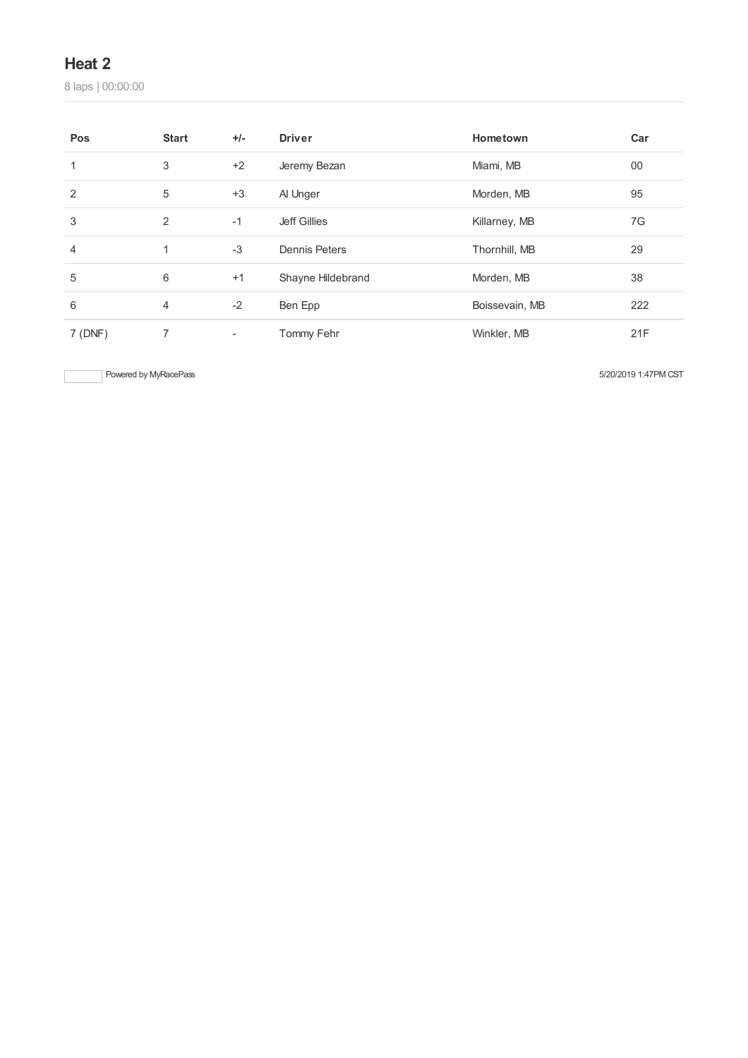#### **Heat 2**

laps | 00:00:00

| Pos    | <b>Start</b> | $+/-$                    | <b>Driver</b>        | Hometown       | Car |
|--------|--------------|--------------------------|----------------------|----------------|-----|
| 1      | 3            | $+2$                     | Jeremy Bezan         | Miami, MB      | 00  |
| 2      | $\sqrt{5}$   | $+3$                     | Al Unger             | Morden, MB     | 95  |
| 3      | 2            | $-1$                     | <b>Jeff Gillies</b>  | Killarney, MB  | 7G  |
| 4      | 1            | $-3$                     | <b>Dennis Peters</b> | Thornhill, MB  | 29  |
| 5      | 6            | $+1$                     | Shayne Hildebrand    | Morden, MB     | 38  |
| 6      | 4            | $-2$                     | Ben Epp              | Boissevain, MB | 222 |
| 7(DNF) | 7            | $\overline{\phantom{a}}$ | Tommy Fehr           | Winkler, MB    | 21F |

Powered by MyRacePass 5/20/2019 1:47PM CST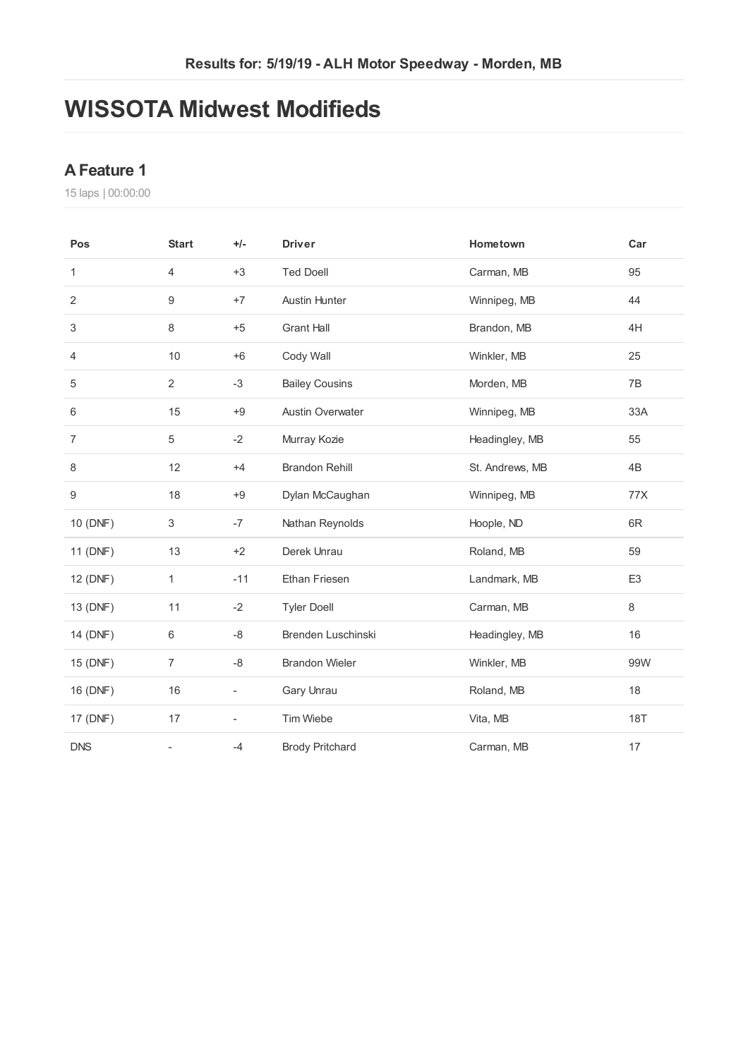### **WISSOTA Midwest Modifieds**

#### **AFeature 1**

laps | 00:00:00

| Pos            | <b>Start</b>   | $+/-$                    | <b>Driver</b>           | Hometown        | Car            |
|----------------|----------------|--------------------------|-------------------------|-----------------|----------------|
| 1              | $\overline{4}$ | $+3$                     | <b>Ted Doell</b>        | Carman, MB      | 95             |
| 2              | 9              | $+7$                     | <b>Austin Hunter</b>    | Winnipeg, MB    | 44             |
| 3              | 8              | $+5$                     | <b>Grant Hall</b>       | Brandon, MB     | 4H             |
| 4              | 10             | $+6$                     | Cody Wall               | Winkler, MB     | 25             |
| 5              | $\overline{2}$ | -3                       | <b>Bailey Cousins</b>   | Morden, MB      | 7B             |
| 6              | 15             | $+9$                     | <b>Austin Overwater</b> | Winnipeg, MB    | 33A            |
| $\overline{7}$ | 5              | $-2$                     | Murray Kozie            | Headingley, MB  | 55             |
| 8              | 12             | $+4$                     | <b>Brandon Rehill</b>   | St. Andrews, MB | 4B             |
| 9              | 18             | $+9$                     | Dylan McCaughan         | Winnipeg, MB    | 77X            |
| 10 (DNF)       | 3              | $-7$                     | Nathan Reynolds         | Hoople, ND      | 6R             |
| 11 (DNF)       | 13             | $+2$                     | Derek Unrau             | Roland, MB      | 59             |
| 12 (DNF)       | 1              | $-11$                    | Ethan Friesen           | Landmark, MB    | E <sub>3</sub> |
| 13 (DNF)       | 11             | $-2$                     | <b>Tyler Doell</b>      | Carman, MB      | $\,8\,$        |
| 14 (DNF)       | 6              | -8                       | Brenden Luschinski      | Headingley, MB  | 16             |
| 15 (DNF)       | $\overline{7}$ | -8                       | <b>Brandon Wieler</b>   | Winkler, MB     | 99W            |
| 16 (DNF)       | 16             | ÷                        | Gary Unrau              | Roland, MB      | 18             |
| 17 (DNF)       | 17             | $\overline{\phantom{a}}$ | Tim Wiebe               | Vita, MB        | <b>18T</b>     |
| <b>DNS</b>     | $\overline{a}$ | $-4$                     | <b>Brody Pritchard</b>  | Carman, MB      | 17             |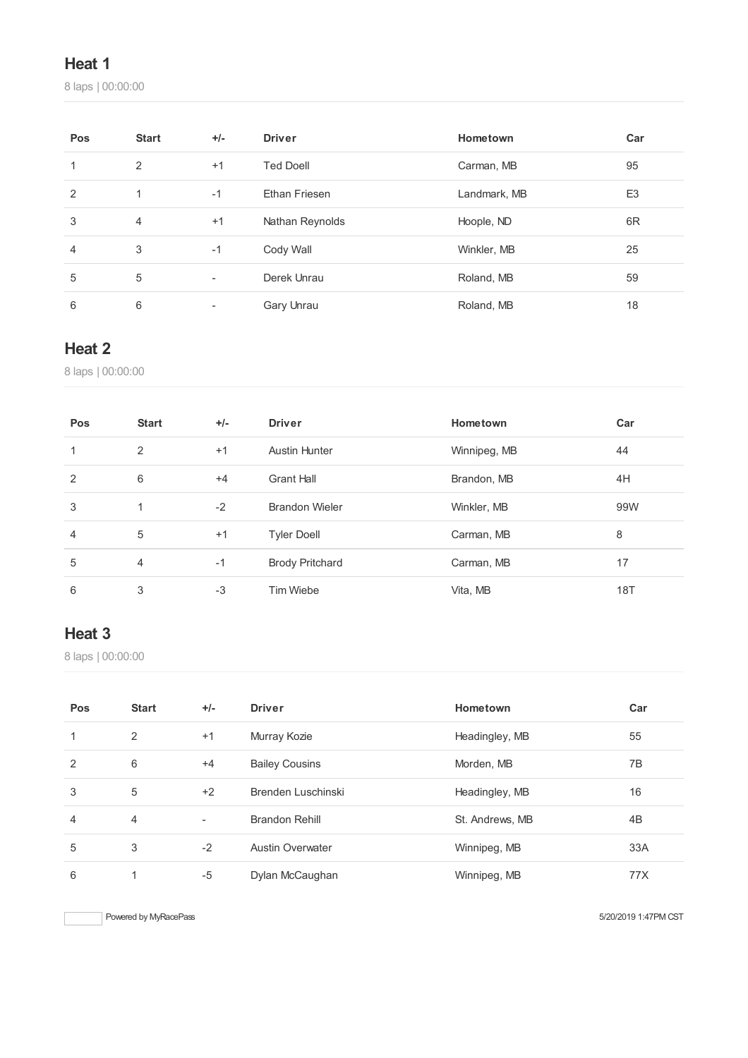#### **Heat 1**

laps | 00:00:00

| Pos            | <b>Start</b>   | $+/-$ | <b>Driver</b>        | Hometown     | Car            |
|----------------|----------------|-------|----------------------|--------------|----------------|
| 1              | 2              | $+1$  | <b>Ted Doell</b>     | Carman, MB   | 95             |
| $\overline{2}$ | 1              | $-1$  | <b>Ethan Friesen</b> | Landmark, MB | E <sub>3</sub> |
| 3              | $\overline{4}$ | $+1$  | Nathan Reynolds      | Hoople, ND   | 6 <sub>R</sub> |
| $\overline{4}$ | 3              | $-1$  | Cody Wall            | Winkler, MB  | 25             |
| 5              | 5              | ٠     | Derek Unrau          | Roland, MB   | 59             |
| 6              | 6              |       | Gary Unrau           | Roland, MB   | 18             |

#### **Heat 2**

laps | 00:00:00

| Pos | <b>Start</b> | $+/-$ | <b>Driver</b>          | Hometown     | Car |
|-----|--------------|-------|------------------------|--------------|-----|
|     | 2            | $+1$  | <b>Austin Hunter</b>   | Winnipeg, MB | 44  |
| 2   | 6            | $+4$  | <b>Grant Hall</b>      | Brandon, MB  | 4H  |
| 3   | 1            | $-2$  | <b>Brandon Wieler</b>  | Winkler, MB  | 99W |
| 4   | 5            | $+1$  | <b>Tyler Doell</b>     | Carman, MB   | 8   |
| 5   | 4            | $-1$  | <b>Brody Pritchard</b> | Carman, MB   | 17  |
| 6   | 3            | $-3$  | Tim Wiebe              | Vita, MB     | 18T |

### **Heat 3**

laps | 00:00:00

| Pos | <b>Start</b> | $+/-$                    | <b>Driver</b>           | Hometown        | Car |
|-----|--------------|--------------------------|-------------------------|-----------------|-----|
| 1   | 2            | $+1$                     | Murray Kozie            | Headingley, MB  | 55  |
| 2   | 6            | $+4$                     | <b>Bailey Cousins</b>   | Morden, MB      | 7B  |
| 3   | 5            | $+2$                     | Brenden Luschinski      | Headingley, MB  | 16  |
| 4   | 4            | $\overline{\phantom{a}}$ | <b>Brandon Rehill</b>   | St. Andrews, MB | 4B  |
| 5   | 3            | $-2$                     | <b>Austin Overwater</b> | Winnipeg, MB    | 33A |
| 6   |              | $-5$                     | Dylan McCaughan         | Winnipeg, MB    | 77X |

Powered by MyRacePass 5/20/2019 1:47PM CST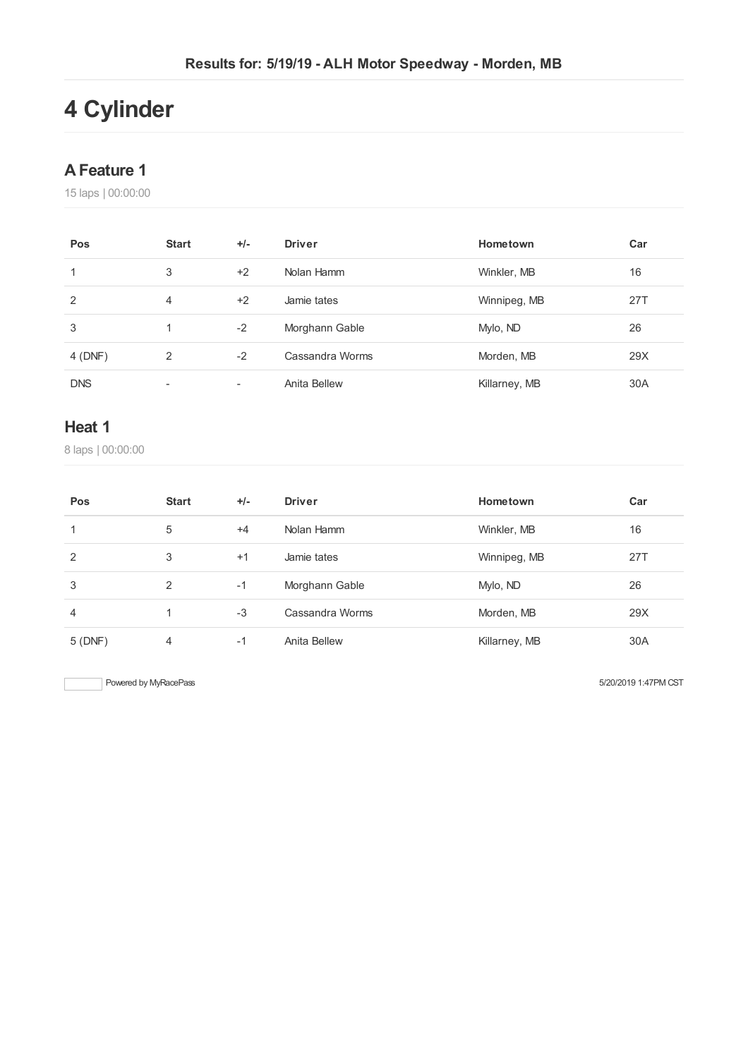# **Cylinder**

#### **AFeature 1**

laps | 00:00:00

| Pos        | <b>Start</b>             | $+/-$                    | <b>Driver</b>   | Hometown      | Car |
|------------|--------------------------|--------------------------|-----------------|---------------|-----|
| 1          | 3                        | $+2$                     | Nolan Hamm      | Winkler, MB   | 16  |
| 2          | 4                        | $+2$                     | Jamie tates     | Winnipeg, MB  | 27T |
| 3          | 1                        | $-2$                     | Morghann Gable  | Mylo, ND      | 26  |
| 4 (DNF)    | 2                        | $-2$                     | Cassandra Worms | Morden, MB    | 29X |
| <b>DNS</b> | $\overline{\phantom{a}}$ | $\overline{\phantom{a}}$ | Anita Bellew    | Killarney, MB | 30A |

#### **Heat 1**

laps | 00:00:00

| Pos            | <b>Start</b> | $+/-$ | <b>Driver</b>   | Hometown      | Car |
|----------------|--------------|-------|-----------------|---------------|-----|
| 1              | 5            | $+4$  | Nolan Hamm      | Winkler, MB   | 16  |
| 2              | 3            | $+1$  | Jamie tates     | Winnipeg, MB  | 27T |
| 3              | 2            | $-1$  | Morghann Gable  | Mylo, ND      | 26  |
| $\overline{4}$ | 1            | $-3$  | Cassandra Worms | Morden, MB    | 29X |
| 5(DNF)         | 4            | $-1$  | Anita Bellew    | Killarney, MB | 30A |

Powered by MyRacePass 6/20/2019 1:47PM CST